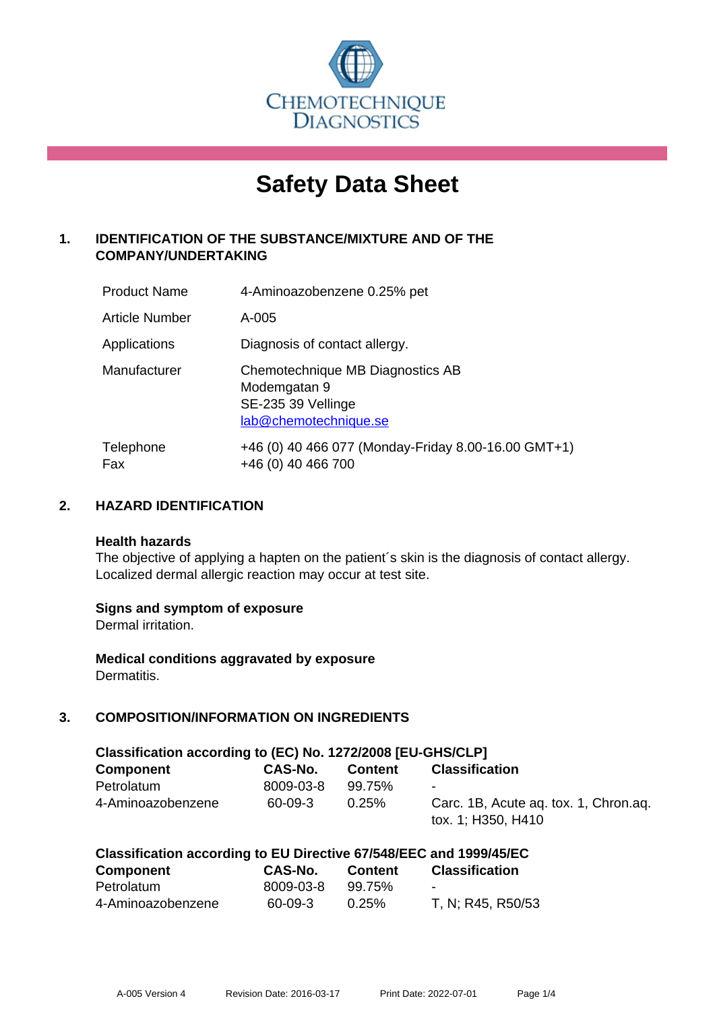

# **Safety Data Sheet**

# **1. IDENTIFICATION OF THE SUBSTANCE/MIXTURE AND OF THE COMPANY/UNDERTAKING**

| <b>Product Name</b>   | 4-Aminoazobenzene 0.25% pet                                                                     |
|-----------------------|-------------------------------------------------------------------------------------------------|
| <b>Article Number</b> | A-005                                                                                           |
| Applications          | Diagnosis of contact allergy.                                                                   |
| Manufacturer          | Chemotechnique MB Diagnostics AB<br>Modemgatan 9<br>SE-235 39 Vellinge<br>lab@chemotechnique.se |
| Telephone<br>Fax      | +46 (0) 40 466 077 (Monday-Friday 8.00-16.00 GMT+1)<br>+46 (0) 40 466 700                       |

## **2. HAZARD IDENTIFICATION**

#### **Health hazards**

The objective of applying a hapten on the patient's skin is the diagnosis of contact allergy. Localized dermal allergic reaction may occur at test site.

## **Signs and symptom of exposure**

Dermal irritation.

**Medical conditions aggravated by exposure** Dermatitis.

# **3. COMPOSITION/INFORMATION ON INGREDIENTS**

| Classification according to (EC) No. 1272/2008 [EU-GHS/CLP] |           |                |                                                             |  |  |
|-------------------------------------------------------------|-----------|----------------|-------------------------------------------------------------|--|--|
| <b>Component</b>                                            | CAS-No.   | <b>Content</b> | <b>Classification</b>                                       |  |  |
| Petrolatum                                                  | 8009-03-8 | 99.75%         | $\blacksquare$                                              |  |  |
| 4-Aminoazobenzene                                           | 60-09-3   | $0.25\%$       | Carc. 1B, Acute ag. tox. 1, Chron.ag.<br>tox. 1; H350, H410 |  |  |

| Classification according to EU Directive 67/548/EEC and 1999/45/EC |           |                |                          |  |
|--------------------------------------------------------------------|-----------|----------------|--------------------------|--|
| Component                                                          | CAS-No.   | <b>Content</b> | <b>Classification</b>    |  |
| Petrolatum                                                         | 8009-03-8 | 99.75%         | $\overline{\phantom{0}}$ |  |
| 4-Aminoazobenzene                                                  | 60-09-3   | 0.25%          | T, N; R45, R50/53        |  |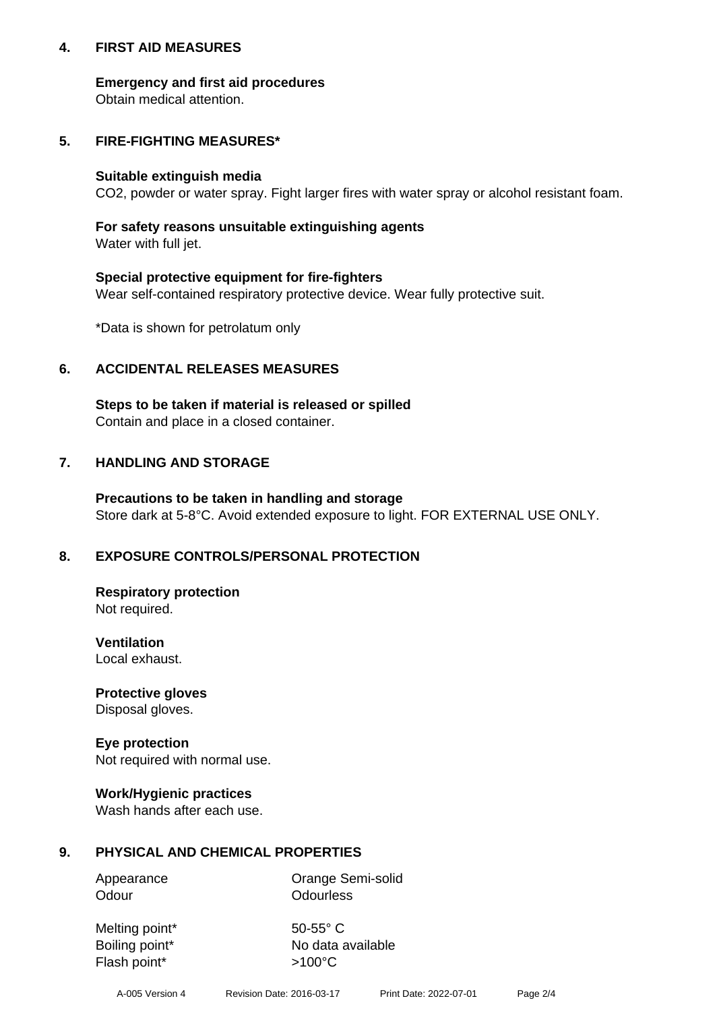## **4. FIRST AID MEASURES**

## **Emergency and first aid procedures**

Obtain medical attention.

# **5. FIRE-FIGHTING MEASURES\***

#### **Suitable extinguish media**

CO2, powder or water spray. Fight larger fires with water spray or alcohol resistant foam.

# **For safety reasons unsuitable extinguishing agents**

Water with full jet.

## **Special protective equipment for fire-fighters**

Wear self-contained respiratory protective device. Wear fully protective suit.

\*Data is shown for petrolatum only

## **6. ACCIDENTAL RELEASES MEASURES**

**Steps to be taken if material is released or spilled** Contain and place in a closed container.

# **7. HANDLING AND STORAGE**

**Precautions to be taken in handling and storage** Store dark at 5-8°C. Avoid extended exposure to light. FOR EXTERNAL USE ONLY.

# **8. EXPOSURE CONTROLS/PERSONAL PROTECTION**

**Respiratory protection** Not required.

**Ventilation** Local exhaust.

**Protective gloves** Disposal gloves.

#### **Eye protection** Not required with normal use.

## **Work/Hygienic practices**

Wash hands after each use.

## **9. PHYSICAL AND CHEMICAL PROPERTIES**

Odour **Odourless** 

Appearance **Orange Semi-solid** 

Melting point\* 50-55° C Flash point\*  $>100^{\circ}$ C

Boiling point\* No data available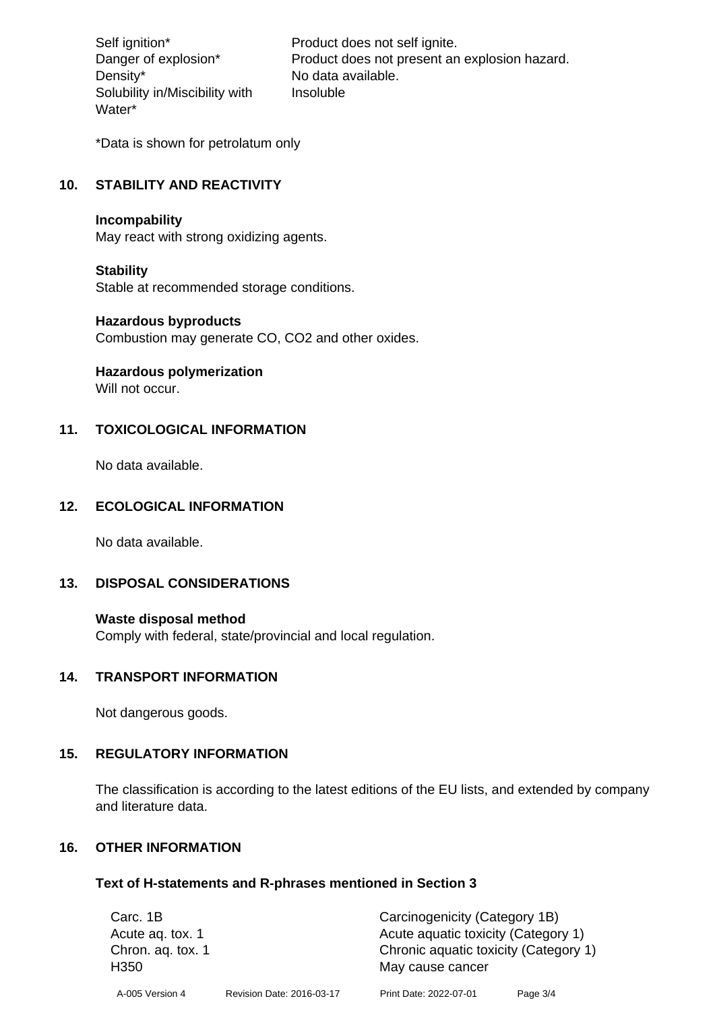Density\* No data available. Solubility in/Miscibility with Water\*

Self ignition\* Product does not self ignite. Danger of explosion\* Product does not present an explosion hazard. Insoluble

\*Data is shown for petrolatum only

# **10. STABILITY AND REACTIVITY**

#### **Incompability**

May react with strong oxidizing agents.

#### **Stability**

Stable at recommended storage conditions.

#### **Hazardous byproducts**

Combustion may generate CO, CO2 and other oxides.

**Hazardous polymerization**

Will not occur.

## **11. TOXICOLOGICAL INFORMATION**

No data available.

## **12. ECOLOGICAL INFORMATION**

No data available.

## **13. DISPOSAL CONSIDERATIONS**

#### **Waste disposal method**

Comply with federal, state/provincial and local regulation.

#### **14. TRANSPORT INFORMATION**

Not dangerous goods.

## **15. REGULATORY INFORMATION**

The classification is according to the latest editions of the EU lists, and extended by company and literature data.

#### **16. OTHER INFORMATION**

#### **Text of H-statements and R-phrases mentioned in Section 3**

| Carc. 1B                              |                           | Carcinogenicity (Category 1B)                             |          |
|---------------------------------------|---------------------------|-----------------------------------------------------------|----------|
| Acute ag. tox. 1                      |                           | Acute aquatic toxicity (Category 1)                       |          |
| Chron. aq. tox. 1<br>H <sub>350</sub> |                           | Chronic aquatic toxicity (Category 1)<br>May cause cancer |          |
| A-005 Version 4                       | Revision Date: 2016-03-17 | Print Date: 2022-07-01                                    | Page 3/4 |